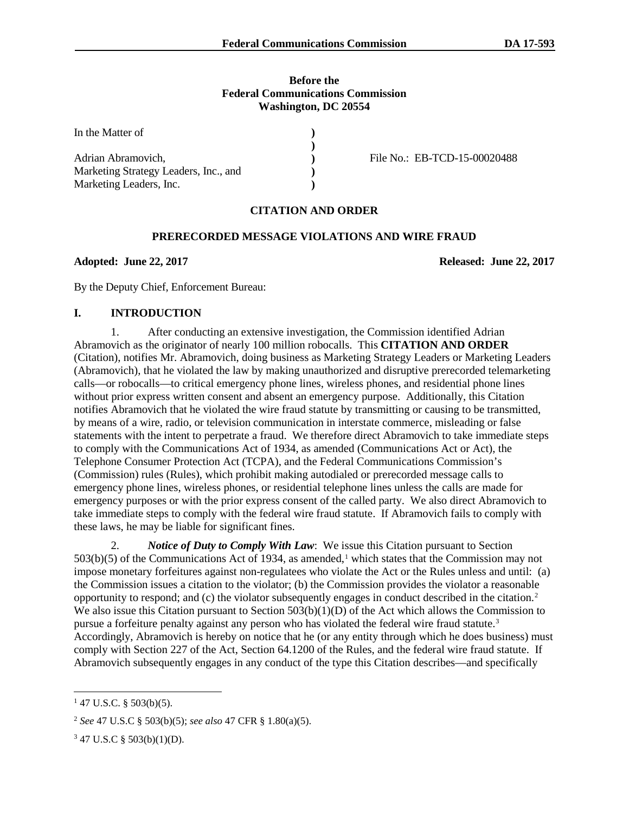#### **Before the Federal Communications Commission Washington, DC 20554**

| In the Matter of                      |                              |
|---------------------------------------|------------------------------|
|                                       |                              |
| Adrian Abramovich,                    | File No.: EB-TCD-15-00020488 |
| Marketing Strategy Leaders, Inc., and |                              |
| Marketing Leaders, Inc.               |                              |

#### **CITATION AND ORDER**

### **PRERECORDED MESSAGE VIOLATIONS AND WIRE FRAUD**

**Adopted: June 22, 2017 Released: June 22, 2017**

By the Deputy Chief, Enforcement Bureau:

# **I. INTRODUCTION**

1. After conducting an extensive investigation, the Commission identified Adrian Abramovich as the originator of nearly 100 million robocalls. This **CITATION AND ORDER**  (Citation), notifies Mr. Abramovich, doing business as Marketing Strategy Leaders or Marketing Leaders (Abramovich), that he violated the law by making unauthorized and disruptive prerecorded telemarketing calls—or robocalls—to critical emergency phone lines, wireless phones, and residential phone lines without prior express written consent and absent an emergency purpose. Additionally, this Citation notifies Abramovich that he violated the wire fraud statute by transmitting or causing to be transmitted, by means of a wire, radio, or television communication in interstate commerce, misleading or false statements with the intent to perpetrate a fraud. We therefore direct Abramovich to take immediate steps to comply with the Communications Act of 1934, as amended (Communications Act or Act), the Telephone Consumer Protection Act (TCPA), and the Federal Communications Commission's (Commission) rules (Rules), which prohibit making autodialed or prerecorded message calls to emergency phone lines, wireless phones, or residential telephone lines unless the calls are made for emergency purposes or with the prior express consent of the called party. We also direct Abramovich to take immediate steps to comply with the federal wire fraud statute. If Abramovich fails to comply with these laws, he may be liable for significant fines.

2. *Notice of Duty to Comply With Law*: We issue this Citation pursuant to Section 503(b)(5) of the Communications Act of 1934, as amended, <sup>1</sup> which states that the Commission may not impose monetary forfeitures against non-regulatees who violate the Act or the Rules unless and until: (a) the Commission issues a citation to the violator; (b) the Commission provides the violator a reasonable opportunity to respond; and (c) the violator subsequently engages in conduct described in the citation.2 We also issue this Citation pursuant to Section  $503(b)(1)(D)$  of the Act which allows the Commission to pursue a forfeiture penalty against any person who has violated the federal wire fraud statute.<sup>3</sup> Accordingly, Abramovich is hereby on notice that he (or any entity through which he does business) must comply with Section 227 of the Act, Section 64.1200 of the Rules, and the federal wire fraud statute. If Abramovich subsequently engages in any conduct of the type this Citation describes—and specifically

 $147$  U.S.C. § 503(b)(5).

<sup>2</sup> *See* 47 U.S.C § 503(b)(5); *see also* 47 CFR § 1.80(a)(5).

<sup>3</sup> 47 U.S.C § 503(b)(1)(D).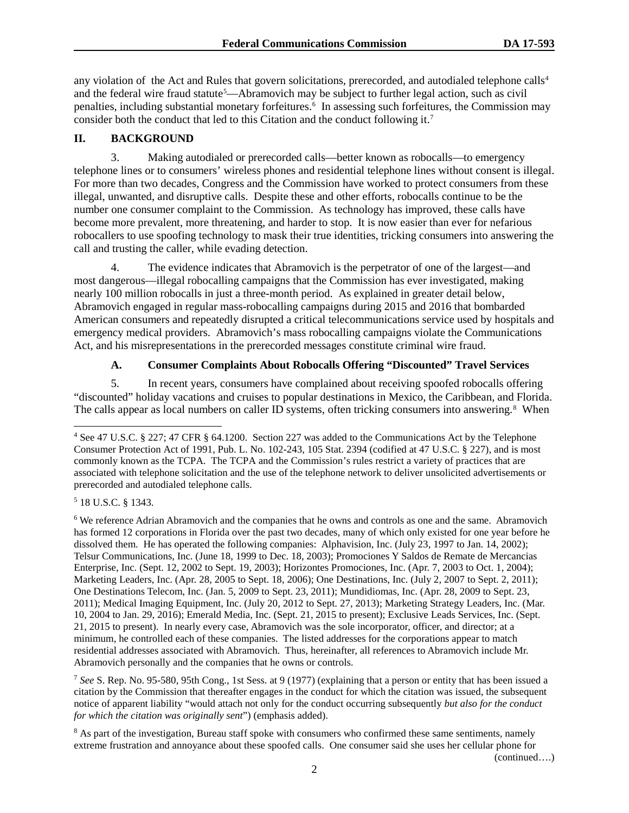any violation of the Act and Rules that govern solicitations, prerecorded, and autodialed telephone calls<sup>4</sup> and the federal wire fraud statute<sup>5</sup>—Abramovich may be subject to further legal action, such as civil penalties, including substantial monetary forfeitures.<sup>6</sup> In assessing such forfeitures, the Commission may consider both the conduct that led to this Citation and the conduct following it.7

### **II. BACKGROUND**

3. Making autodialed or prerecorded calls—better known as robocalls—to emergency telephone lines or to consumers' wireless phones and residential telephone lines without consent is illegal. For more than two decades, Congress and the Commission have worked to protect consumers from these illegal, unwanted, and disruptive calls. Despite these and other efforts, robocalls continue to be the number one consumer complaint to the Commission. As technology has improved, these calls have become more prevalent, more threatening, and harder to stop. It is now easier than ever for nefarious robocallers to use spoofing technology to mask their true identities, tricking consumers into answering the call and trusting the caller, while evading detection.

4. The evidence indicates that Abramovich is the perpetrator of one of the largest—and most dangerous—illegal robocalling campaigns that the Commission has ever investigated, making nearly 100 million robocalls in just a three-month period. As explained in greater detail below, Abramovich engaged in regular mass-robocalling campaigns during 2015 and 2016 that bombarded American consumers and repeatedly disrupted a critical telecommunications service used by hospitals and emergency medical providers. Abramovich's mass robocalling campaigns violate the Communications Act, and his misrepresentations in the prerecorded messages constitute criminal wire fraud.

## **A. Consumer Complaints About Robocalls Offering "Discounted" Travel Services**

5. In recent years, consumers have complained about receiving spoofed robocalls offering "discounted" holiday vacations and cruises to popular destinations in Mexico, the Caribbean, and Florida. The calls appear as local numbers on caller ID systems, often tricking consumers into answering.<sup>8</sup> When

<sup>5</sup> 18 U.S.C. § 1343.

<sup>6</sup> We reference Adrian Abramovich and the companies that he owns and controls as one and the same. Abramovich has formed 12 corporations in Florida over the past two decades, many of which only existed for one year before he dissolved them. He has operated the following companies: Alphavision, Inc. (July 23, 1997 to Jan. 14, 2002); Telsur Communications, Inc. (June 18, 1999 to Dec. 18, 2003); Promociones Y Saldos de Remate de Mercancias Enterprise, Inc. (Sept. 12, 2002 to Sept. 19, 2003); Horizontes Promociones, Inc. (Apr. 7, 2003 to Oct. 1, 2004); Marketing Leaders, Inc. (Apr. 28, 2005 to Sept. 18, 2006); One Destinations, Inc. (July 2, 2007 to Sept. 2, 2011); One Destinations Telecom, Inc. (Jan. 5, 2009 to Sept. 23, 2011); Mundidiomas, Inc. (Apr. 28, 2009 to Sept. 23, 2011); Medical Imaging Equipment, Inc. (July 20, 2012 to Sept. 27, 2013); Marketing Strategy Leaders, Inc. (Mar. 10, 2004 to Jan. 29, 2016); Emerald Media, Inc. (Sept. 21, 2015 to present); Exclusive Leads Services, Inc. (Sept. 21, 2015 to present). In nearly every case, Abramovich was the sole incorporator, officer, and director; at a minimum, he controlled each of these companies. The listed addresses for the corporations appear to match residential addresses associated with Abramovich. Thus, hereinafter, all references to Abramovich include Mr. Abramovich personally and the companies that he owns or controls.

<sup>7</sup> *See* S. Rep. No. 95-580, 95th Cong., 1st Sess. at 9 (1977) (explaining that a person or entity that has been issued a citation by the Commission that thereafter engages in the conduct for which the citation was issued, the subsequent notice of apparent liability "would attach not only for the conduct occurring subsequently *but also for the conduct for which the citation was originally sent*") (emphasis added).

<sup>8</sup> As part of the investigation, Bureau staff spoke with consumers who confirmed these same sentiments, namely extreme frustration and annoyance about these spoofed calls. One consumer said she uses her cellular phone for

(continued….)

 <sup>4</sup> See 47 U.S.C. § 227; 47 CFR § 64.1200. Section 227 was added to the Communications Act by the Telephone Consumer Protection Act of 1991, Pub. L. No. 102-243, 105 Stat. 2394 (codified at 47 U.S.C. § 227), and is most commonly known as the TCPA. The TCPA and the Commission's rules restrict a variety of practices that are associated with telephone solicitation and the use of the telephone network to deliver unsolicited advertisements or prerecorded and autodialed telephone calls.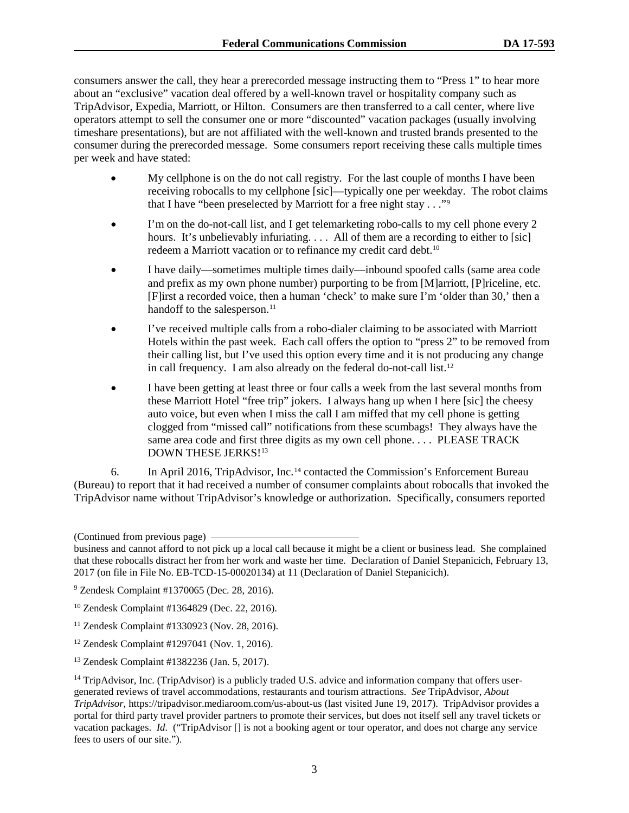consumers answer the call, they hear a prerecorded message instructing them to "Press 1" to hear more about an "exclusive" vacation deal offered by a well-known travel or hospitality company such as TripAdvisor, Expedia, Marriott, or Hilton. Consumers are then transferred to a call center, where live operators attempt to sell the consumer one or more "discounted" vacation packages (usually involving timeshare presentations), but are not affiliated with the well-known and trusted brands presented to the consumer during the prerecorded message. Some consumers report receiving these calls multiple times per week and have stated:

- My cellphone is on the do not call registry. For the last couple of months I have been receiving robocalls to my cellphone [sic]—typically one per weekday. The robot claims that I have "been preselected by Marriott for a free night stay . . ."9
- I'm on the do-not-call list, and I get telemarketing robo-calls to my cell phone every 2 hours. It's unbelievably infuriating. . . . All of them are a recording to either to [sic] redeem a Marriott vacation or to refinance my credit card debt.<sup>10</sup>
- I have daily—sometimes multiple times daily—inbound spoofed calls (same area code and prefix as my own phone number) purporting to be from [M]arriott, [P]riceline, etc. [F]irst a recorded voice, then a human 'check' to make sure I'm 'older than 30,' then a handoff to the salesperson.<sup>11</sup>
- I've received multiple calls from a robo-dialer claiming to be associated with Marriott Hotels within the past week. Each call offers the option to "press 2" to be removed from their calling list, but I've used this option every time and it is not producing any change in call frequency. I am also already on the federal do-not-call list.12
- I have been getting at least three or four calls a week from the last several months from these Marriott Hotel "free trip" jokers. I always hang up when I here [sic] the cheesy auto voice, but even when I miss the call I am miffed that my cell phone is getting clogged from "missed call" notifications from these scumbags! They always have the same area code and first three digits as my own cell phone.... PLEASE TRACK DOWN THESE JERKS!<sup>13</sup>

6. In April 2016, TripAdvisor, Inc.14 contacted the Commission's Enforcement Bureau (Bureau) to report that it had received a number of consumer complaints about robocalls that invoked the TripAdvisor name without TripAdvisor's knowledge or authorization. Specifically, consumers reported

<sup>(</sup>Continued from previous page)

business and cannot afford to not pick up a local call because it might be a client or business lead. She complained that these robocalls distract her from her work and waste her time. Declaration of Daniel Stepanicich, February 13, 2017 (on file in File No. EB-TCD-15-00020134) at 11 (Declaration of Daniel Stepanicich).

<sup>9</sup> Zendesk Complaint #1370065 (Dec. 28, 2016).

<sup>10</sup> Zendesk Complaint #1364829 (Dec. 22, 2016).

<sup>11</sup> Zendesk Complaint #1330923 (Nov. 28, 2016).

<sup>12</sup> Zendesk Complaint #1297041 (Nov. 1, 2016).

<sup>13</sup> Zendesk Complaint #1382236 (Jan. 5, 2017).

 $14$  TripAdvisor, Inc. (TripAdvisor) is a publicly traded U.S. advice and information company that offers usergenerated reviews of travel accommodations, restaurants and tourism attractions. *See* TripAdvisor, *About TripAdvisor*, https://tripadvisor.mediaroom.com/us-about-us (last visited June 19, 2017). TripAdvisor provides a portal for third party travel provider partners to promote their services, but does not itself sell any travel tickets or vacation packages. *Id.* ("TripAdvisor [] is not a booking agent or tour operator, and does not charge any service fees to users of our site.").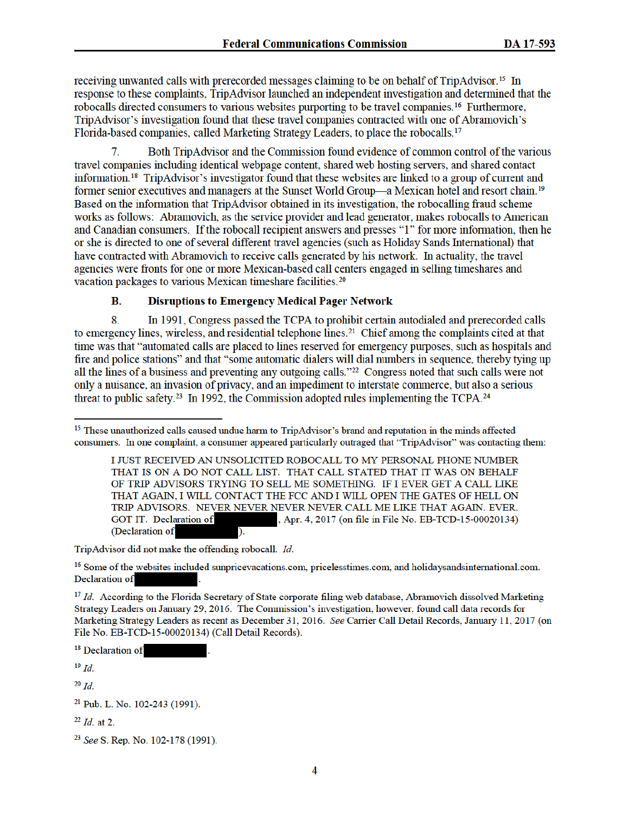receiving unwanted calls with prerecorded messages claiming to be on behalf of TripAdvisor.<sup>15</sup> In response to these complaints, TripAdvisor launched an independent investigation and determined that the robocalls directed consumers to various websites purporting to be travel companies.<sup>16</sup> Furthermore, TripAdvisor's investigation found that these travel companies contracted with one of Abramovich's Florida-based companies, called Marketing Strategy Leaders, to place the robocalls.<sup>17</sup>

Both TripAdvisor and the Commission found evidence of common control of the various 7. travel companies including identical webpage content, shared web hosting servers, and shared contact information.<sup>18</sup> TripAdvisor's investigator found that these websites are linked to a group of current and former senior executives and managers at the Sunset World Group—a Mexican hotel and resort chain.<sup>19</sup> Based on the information that TripAdvisor obtained in its investigation, the robocalling fraud scheme works as follows: Abramovich, as the service provider and lead generator, makes robocalls to American and Canadian consumers. If the robocall recipient answers and presses "1" for more information, then he or she is directed to one of several different travel agencies (such as Holiday Sands International) that have contracted with Abramovich to receive calls generated by his network. In actuality, the travel agencies were fronts for one or more Mexican-based call centers engaged in selling timeshares and vacation packages to various Mexican timeshare facilities.<sup>20</sup>

#### **B. Disruptions to Emergency Medical Pager Network**

8. In 1991, Congress passed the TCPA to prohibit certain autodialed and prerecorded calls to emergency lines, wireless, and residential telephone lines.<sup>21</sup> Chief among the complaints cited at that time was that "automated calls are placed to lines reserved for emergency purposes, such as hospitals and fire and police stations" and that "some automatic dialers will dial numbers in sequence, thereby tying up all the lines of a business and preventing any outgoing calls."<sup>22</sup> Congress noted that such calls were not only a nuisance, an invasion of privacy, and an impediment to interstate commerce, but also a serious threat to public safety.<sup>23</sup> In 1992, the Commission adopted rules implementing the TCPA.<sup>24</sup>

TripAdvisor did not make the offending robocall. Id.

<sup>16</sup> Some of the websites included sunpricevacations.com, pricelesstimes.com, and holidaysandsinternational.com. Declaration of

<sup>17</sup> Id. According to the Florida Secretary of State corporate filing web database, Abramovich dissolved Marketing Strategy Leaders on January 29, 2016. The Commission's investigation, however, found call data records for Marketing Strategy Leaders as recent as December 31, 2016. See Carrier Call Detail Records, January 11, 2017 (on File No. EB-TCD-15-00020134) (Call Detail Records).

<sup>18</sup> Declaration of

 $19$  Id.

 $20$  Id.

 $^{22}$  *Id.* at 2.

<sup>&</sup>lt;sup>15</sup> These unauthorized calls caused undue harm to TripAdvisor's brand and reputation in the minds affected consumers. In one complaint, a consumer appeared particularly outraged that "TripAdvisor" was contacting them:

I JUST RECEIVED AN UNSOLICITED ROBOCALL TO MY PERSONAL PHONE NUMBER THAT IS ON A DO NOT CALL LIST. THAT CALL STATED THAT IT WAS ON BEHALF OF TRIP ADVISORS TRYING TO SELL ME SOMETHING. IF I EVER GET A CALL LIKE THAT AGAIN, I WILL CONTACT THE FCC AND I WILL OPEN THE GATES OF HELL ON TRIP ADVISORS. NEVER NEVER NEVER NEVER CALL ME LIKE THAT AGAIN. EVER. GOT IT. Declaration of , Apr. 4, 2017 (on file in File No. EB-TCD-15-00020134) (Declaration of

<sup>&</sup>lt;sup>21</sup> Pub. L. No. 102-243 (1991).

<sup>&</sup>lt;sup>23</sup> See S. Rep. No. 102-178 (1991).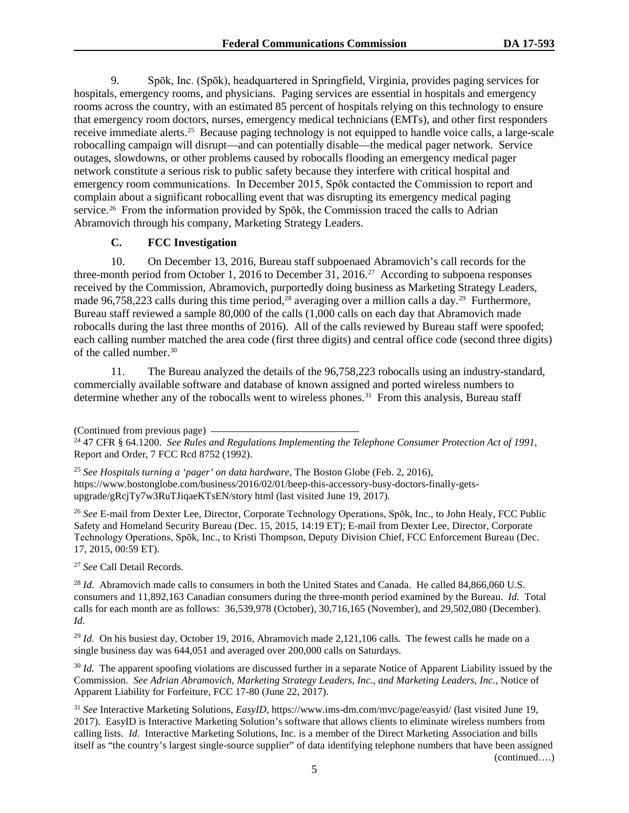9. Spōk, Inc. (Spōk), headquartered in Springfield, Virginia, provides paging services for hospitals, emergency rooms, and physicians. Paging services are essential in hospitals and emergency rooms across the country, with an estimated 85 percent of hospitals relying on this technology to ensure that emergency room doctors, nurses, emergency medical technicians (EMTs), and other first responders receive immediate alerts.25 Because paging technology is not equipped to handle voice calls, a large-scale robocalling campaign will disrupt—and can potentially disable—the medical pager network. Service outages, slowdowns, or other problems caused by robocalls flooding an emergency medical pager network constitute a serious risk to public safety because they interfere with critical hospital and emergency room communications. In December 2015, Spōk contacted the Commission to report and complain about a significant robocalling event that was disrupting its emergency medical paging service.<sup>26</sup> From the information provided by Spōk, the Commission traced the calls to Adrian Abramovich through his company, Marketing Strategy Leaders.

#### **C. FCC Investigation**

10. On December 13, 2016, Bureau staff subpoenaed Abramovich's call records for the three-month period from October 1, 2016 to December 31, 2016.27 According to subpoena responses received by the Commission, Abramovich, purportedly doing business as Marketing Strategy Leaders, made 96,758,223 calls during this time period,<sup>28</sup> averaging over a million calls a day.<sup>29</sup> Furthermore, Bureau staff reviewed a sample 80,000 of the calls (1,000 calls on each day that Abramovich made robocalls during the last three months of 2016). All of the calls reviewed by Bureau staff were spoofed; each calling number matched the area code (first three digits) and central office code (second three digits) of the called number.30

11. The Bureau analyzed the details of the 96,758,223 robocalls using an industry-standard, commercially available software and database of known assigned and ported wireless numbers to determine whether any of the robocalls went to wireless phones.<sup>31</sup> From this analysis, Bureau staff

<sup>25</sup> *See Hospitals turning a 'pager' on data hardware*, The Boston Globe (Feb. 2, 2016), https://www.bostonglobe.com/business/2016/02/01/beep-this-accessory-busy-doctors-finally-getsupgrade/gRcjTy7w3RuTJiqaeKTsEN/story html (last visited June 19, 2017).

<sup>26</sup> *See* E-mail from Dexter Lee, Director, Corporate Technology Operations, Spōk, Inc., to John Healy, FCC Public Safety and Homeland Security Bureau (Dec. 15, 2015, 14:19 ET); E-mail from Dexter Lee, Director, Corporate Technology Operations, Spōk, Inc., to Kristi Thompson, Deputy Division Chief, FCC Enforcement Bureau (Dec. 17, 2015, 00:59 ET).

<sup>27</sup> *See* Call Detail Records.

<sup>28</sup> *Id.* Abramovich made calls to consumers in both the United States and Canada. He called 84,866,060 U.S. consumers and 11,892,163 Canadian consumers during the three-month period examined by the Bureau. *Id.* Total calls for each month are as follows: 36,539,978 (October), 30,716,165 (November), and 29,502,080 (December). *Id.*

<sup>29</sup> *Id.* On his busiest day, October 19, 2016, Abramovich made 2,121,106 calls. The fewest calls he made on a single business day was 644,051 and averaged over 200,000 calls on Saturdays.

<sup>30</sup> *Id.* The apparent spoofing violations are discussed further in a separate Notice of Apparent Liability issued by the Commission. *See Adrian Abramovich, Marketing Strategy Leaders, Inc., and Marketing Leaders, Inc.*, Notice of Apparent Liability for Forfeiture, FCC 17-80 (June 22, 2017).

<sup>31</sup> *See* Interactive Marketing Solutions, *EasyID*, https://www.ims-dm.com/mvc/page/easyid/ (last visited June 19, 2017). EasyID is Interactive Marketing Solution's software that allows clients to eliminate wireless numbers from calling lists. *Id.* Interactive Marketing Solutions, Inc. is a member of the Direct Marketing Association and bills itself as "the country's largest single-source supplier" of data identifying telephone numbers that have been assigned (continued….)

<sup>(</sup>Continued from previous page) 24 47 CFR § 64.1200. *See Rules and Regulations Implementing the Telephone Consumer Protection Act of 1991*, Report and Order, 7 FCC Rcd 8752 (1992).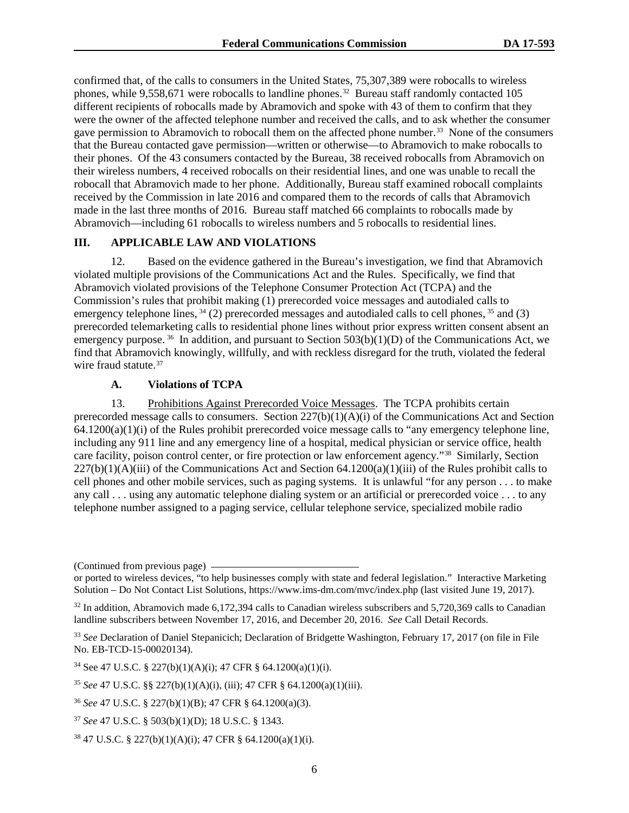confirmed that, of the calls to consumers in the United States, 75,307,389 were robocalls to wireless phones, while 9,558,671 were robocalls to landline phones.<sup>32</sup> Bureau staff randomly contacted 105 different recipients of robocalls made by Abramovich and spoke with 43 of them to confirm that they were the owner of the affected telephone number and received the calls, and to ask whether the consumer gave permission to Abramovich to robocall them on the affected phone number.33 None of the consumers that the Bureau contacted gave permission—written or otherwise—to Abramovich to make robocalls to their phones. Of the 43 consumers contacted by the Bureau, 38 received robocalls from Abramovich on their wireless numbers, 4 received robocalls on their residential lines, and one was unable to recall the robocall that Abramovich made to her phone. Additionally, Bureau staff examined robocall complaints received by the Commission in late 2016 and compared them to the records of calls that Abramovich made in the last three months of 2016. Bureau staff matched 66 complaints to robocalls made by Abramovich—including 61 robocalls to wireless numbers and 5 robocalls to residential lines.

#### **III. APPLICABLE LAW AND VIOLATIONS**

12. Based on the evidence gathered in the Bureau's investigation, we find that Abramovich violated multiple provisions of the Communications Act and the Rules. Specifically, we find that Abramovich violated provisions of the Telephone Consumer Protection Act (TCPA) and the Commission's rules that prohibit making (1) prerecorded voice messages and autodialed calls to emergency telephone lines,  $34$  (2) prerecorded messages and autodialed calls to cell phones,  $35$  and (3) prerecorded telemarketing calls to residential phone lines without prior express written consent absent an emergency purpose.<sup>36</sup> In addition, and pursuant to Section  $503(b)(1)(D)$  of the Communications Act, we find that Abramovich knowingly, willfully, and with reckless disregard for the truth, violated the federal wire fraud statute.<sup>37</sup>

### **A. Violations of TCPA**

13. Prohibitions Against Prerecorded Voice Messages. The TCPA prohibits certain prerecorded message calls to consumers. Section  $227(b)(1)(A)(i)$  of the Communications Act and Section  $64.1200(a)(1)(i)$  of the Rules prohibit prerecorded voice message calls to "any emergency telephone line, including any 911 line and any emergency line of a hospital, medical physician or service office, health care facility, poison control center, or fire protection or law enforcement agency."38 Similarly, Section  $227(b)(1)(A)(iii)$  of the Communications Act and Section 64.1200(a)(1)(iii) of the Rules prohibit calls to cell phones and other mobile services, such as paging systems. It is unlawful "for any person . . . to make any call . . . using any automatic telephone dialing system or an artificial or prerecorded voice . . . to any telephone number assigned to a paging service, cellular telephone service, specialized mobile radio

<sup>(</sup>Continued from previous page)

or ported to wireless devices, "to help businesses comply with state and federal legislation." Interactive Marketing Solution – Do Not Contact List Solutions, https://www.ims-dm.com/mvc/index.php (last visited June 19, 2017).

<sup>&</sup>lt;sup>32</sup> In addition, Abramovich made 6,172,394 calls to Canadian wireless subscribers and 5,720,369 calls to Canadian landline subscribers between November 17, 2016, and December 20, 2016. *See* Call Detail Records.

<sup>33</sup> *See* Declaration of Daniel Stepanicich; Declaration of Bridgette Washington, February 17, 2017 (on file in File No. EB-TCD-15-00020134).

<sup>&</sup>lt;sup>34</sup> See 47 U.S.C. § 227(b)(1)(A)(i); 47 CFR § 64.1200(a)(1)(i).

<sup>35</sup> *See* 47 U.S.C. §§ 227(b)(1)(A)(i), (iii); 47 CFR § 64.1200(a)(1)(iii).

<sup>36</sup> *See* 47 U.S.C. § 227(b)(1)(B); 47 CFR § 64.1200(a)(3).

<sup>37</sup> *See* 47 U.S.C. § 503(b)(1)(D); 18 U.S.C. § 1343.

<sup>38</sup> 47 U.S.C. § 227(b)(1)(A)(i); 47 CFR § 64.1200(a)(1)(i).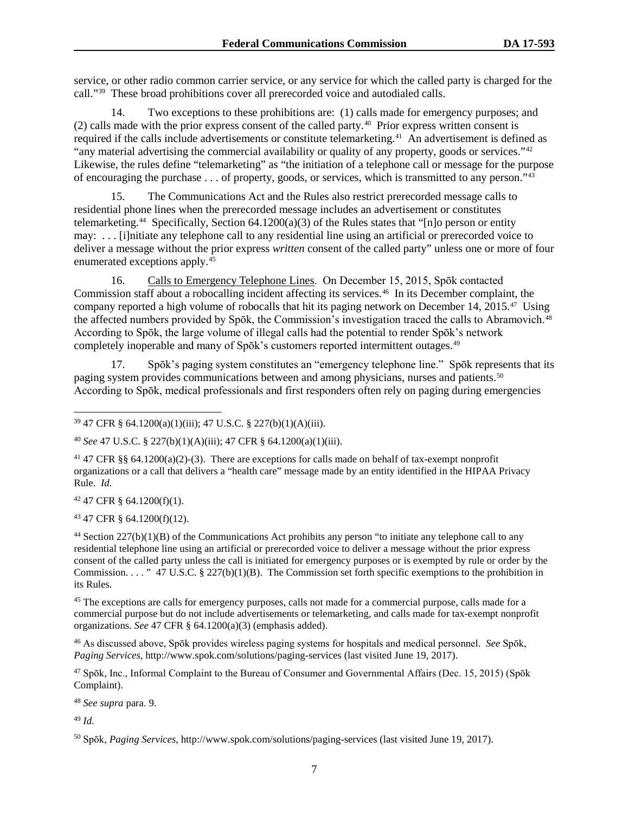service, or other radio common carrier service, or any service for which the called party is charged for the call."39 These broad prohibitions cover all prerecorded voice and autodialed calls.

14. Two exceptions to these prohibitions are: (1) calls made for emergency purposes; and (2) calls made with the prior express consent of the called party.40 Prior express written consent is required if the calls include advertisements or constitute telemarketing.<sup>41</sup> An advertisement is defined as "any material advertising the commercial availability or quality of any property, goods or services."<sup>42</sup> Likewise, the rules define "telemarketing" as "the initiation of a telephone call or message for the purpose of encouraging the purchase . . . of property, goods, or services, which is transmitted to any person."43

15. The Communications Act and the Rules also restrict prerecorded message calls to residential phone lines when the prerecorded message includes an advertisement or constitutes telemarketing.<sup>44</sup> Specifically, Section  $64.1200(a)(3)$  of the Rules states that "[n]o person or entity may: . . . [i]nitiate any telephone call to any residential line using an artificial or prerecorded voice to deliver a message without the prior express *written* consent of the called party" unless one or more of four enumerated exceptions apply.45

16. Calls to Emergency Telephone Lines. On December 15, 2015, Spōk contacted Commission staff about a robocalling incident affecting its services.46 In its December complaint, the company reported a high volume of robocalls that hit its paging network on December 14, 2015.47 Using the affected numbers provided by Spōk, the Commission's investigation traced the calls to Abramovich.48 According to Spōk, the large volume of illegal calls had the potential to render Spōk's network completely inoperable and many of Spōk's customers reported intermittent outages.<sup>49</sup>

17. Spōk's paging system constitutes an "emergency telephone line." Spōk represents that its paging system provides communications between and among physicians, nurses and patients.<sup>50</sup> According to Spōk, medical professionals and first responders often rely on paging during emergencies

 $42$  47 CFR § 64.1200(f)(1).

<sup>43</sup> 47 CFR § 64.1200(f)(12).

<sup>44</sup> Section  $227(b)(1)(B)$  of the Communications Act prohibits any person "to initiate any telephone call to any residential telephone line using an artificial or prerecorded voice to deliver a message without the prior express consent of the called party unless the call is initiated for emergency purposes or is exempted by rule or order by the Commission. . . . " 47 U.S.C.  $\S$  227(b)(1)(B). The Commission set forth specific exemptions to the prohibition in its Rules.

<sup>45</sup> The exceptions are calls for emergency purposes, calls not made for a commercial purpose, calls made for a commercial purpose but do not include advertisements or telemarketing, and calls made for tax-exempt nonprofit organizations. *See* 47 CFR § 64.1200(a)(3) (emphasis added).

<sup>46</sup> As discussed above, Spōk provides wireless paging systems for hospitals and medical personnel. *See* Spōk, *Paging Services*, http://www.spok.com/solutions/paging-services (last visited June 19, 2017).

<sup>47</sup> Spōk, Inc., Informal Complaint to the Bureau of Consumer and Governmental Affairs (Dec. 15, 2015) (Spōk Complaint).

<sup>48</sup> *See supra* para. 9.

<sup>49</sup> *Id.*

<sup>50</sup> Spōk, *Paging Services*, http://www.spok.com/solutions/paging-services (last visited June 19, 2017).

 <sup>39</sup> 47 CFR § 64.1200(a)(1)(iii); 47 U.S.C. § 227(b)(1)(A)(iii).

<sup>40</sup> *See* 47 U.S.C. § 227(b)(1)(A)(iii); 47 CFR § 64.1200(a)(1)(iii).

<sup>&</sup>lt;sup>41</sup> 47 CFR §§ 64.1200(a)(2)-(3). There are exceptions for calls made on behalf of tax-exempt nonprofit organizations or a call that delivers a "health care" message made by an entity identified in the HIPAA Privacy Rule. *Id.*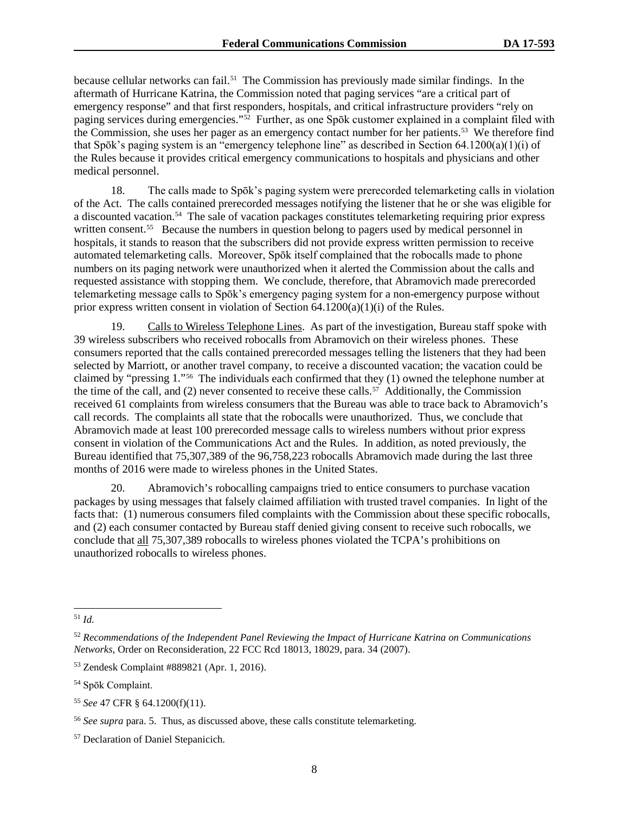because cellular networks can fail.51 The Commission has previously made similar findings. In the aftermath of Hurricane Katrina, the Commission noted that paging services "are a critical part of emergency response" and that first responders, hospitals, and critical infrastructure providers "rely on paging services during emergencies."52 Further, as one Spōk customer explained in a complaint filed with the Commission, she uses her pager as an emergency contact number for her patients.53 We therefore find that Spōk's paging system is an "emergency telephone line" as described in Section  $64.1200(a)(1)(i)$  of the Rules because it provides critical emergency communications to hospitals and physicians and other medical personnel.

18. The calls made to Spōk's paging system were prerecorded telemarketing calls in violation of the Act. The calls contained prerecorded messages notifying the listener that he or she was eligible for a discounted vacation.54 The sale of vacation packages constitutes telemarketing requiring prior express written consent.<sup>55</sup> Because the numbers in question belong to pagers used by medical personnel in hospitals, it stands to reason that the subscribers did not provide express written permission to receive automated telemarketing calls. Moreover, Spōk itself complained that the robocalls made to phone numbers on its paging network were unauthorized when it alerted the Commission about the calls and requested assistance with stopping them. We conclude, therefore, that Abramovich made prerecorded telemarketing message calls to Spōk's emergency paging system for a non-emergency purpose without prior express written consent in violation of Section 64.1200(a)(1)(i) of the Rules.

19. Calls to Wireless Telephone Lines. As part of the investigation, Bureau staff spoke with 39 wireless subscribers who received robocalls from Abramovich on their wireless phones. These consumers reported that the calls contained prerecorded messages telling the listeners that they had been selected by Marriott, or another travel company, to receive a discounted vacation; the vacation could be claimed by "pressing 1."56 The individuals each confirmed that they (1) owned the telephone number at the time of the call, and (2) never consented to receive these calls.<sup>57</sup> Additionally, the Commission received 61 complaints from wireless consumers that the Bureau was able to trace back to Abramovich's call records. The complaints all state that the robocalls were unauthorized. Thus, we conclude that Abramovich made at least 100 prerecorded message calls to wireless numbers without prior express consent in violation of the Communications Act and the Rules. In addition, as noted previously, the Bureau identified that 75,307,389 of the 96,758,223 robocalls Abramovich made during the last three months of 2016 were made to wireless phones in the United States.

20. Abramovich's robocalling campaigns tried to entice consumers to purchase vacation packages by using messages that falsely claimed affiliation with trusted travel companies. In light of the facts that: (1) numerous consumers filed complaints with the Commission about these specific robocalls, and (2) each consumer contacted by Bureau staff denied giving consent to receive such robocalls, we conclude that all 75,307,389 robocalls to wireless phones violated the TCPA's prohibitions on unauthorized robocalls to wireless phones.

 <sup>51</sup> *Id.*

<sup>52</sup> *Recommendations of the Independent Panel Reviewing the Impact of Hurricane Katrina on Communications Networks*, Order on Reconsideration, 22 FCC Rcd 18013, 18029, para. 34 (2007).

<sup>53</sup> Zendesk Complaint #889821 (Apr. 1, 2016).

<sup>54</sup> Spōk Complaint.

<sup>55</sup> *See* 47 CFR § 64.1200(f)(11).

<sup>56</sup> *See supra* para. 5. Thus, as discussed above, these calls constitute telemarketing.

<sup>57</sup> Declaration of Daniel Stepanicich.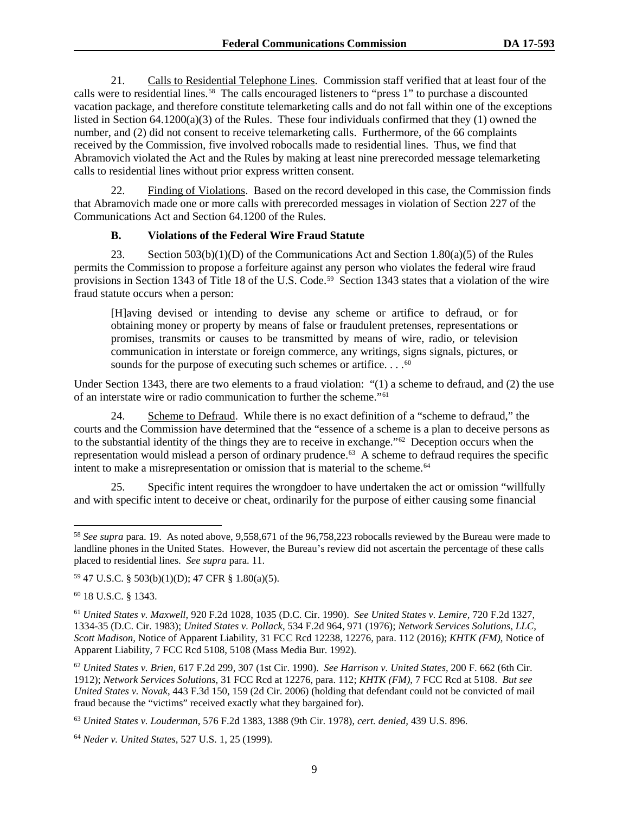21. Calls to Residential Telephone Lines. Commission staff verified that at least four of the calls were to residential lines.58 The calls encouraged listeners to "press 1" to purchase a discounted vacation package, and therefore constitute telemarketing calls and do not fall within one of the exceptions listed in Section 64.1200(a)(3) of the Rules. These four individuals confirmed that they (1) owned the number, and (2) did not consent to receive telemarketing calls. Furthermore, of the 66 complaints received by the Commission, five involved robocalls made to residential lines. Thus, we find that Abramovich violated the Act and the Rules by making at least nine prerecorded message telemarketing calls to residential lines without prior express written consent.

22. Finding of Violations. Based on the record developed in this case, the Commission finds that Abramovich made one or more calls with prerecorded messages in violation of Section 227 of the Communications Act and Section 64.1200 of the Rules.

#### **B. Violations of the Federal Wire Fraud Statute**

23. Section  $503(b)(1)(D)$  of the Communications Act and Section 1.80(a)(5) of the Rules permits the Commission to propose a forfeiture against any person who violates the federal wire fraud provisions in Section 1343 of Title 18 of the U.S. Code.59 Section 1343 states that a violation of the wire fraud statute occurs when a person:

[H]aving devised or intending to devise any scheme or artifice to defraud, or for obtaining money or property by means of false or fraudulent pretenses, representations or promises, transmits or causes to be transmitted by means of wire, radio, or television communication in interstate or foreign commerce, any writings, signs signals, pictures, or sounds for the purpose of executing such schemes or artifice.  $\dots$ <sup>60</sup>

Under Section 1343, there are two elements to a fraud violation: "(1) a scheme to defraud, and (2) the use of an interstate wire or radio communication to further the scheme."61

24. Scheme to Defraud. While there is no exact definition of a "scheme to defraud," the courts and the Commission have determined that the "essence of a scheme is a plan to deceive persons as to the substantial identity of the things they are to receive in exchange."62 Deception occurs when the representation would mislead a person of ordinary prudence.63A scheme to defraud requires the specific intent to make a misrepresentation or omission that is material to the scheme.<sup>64</sup>

25. Specific intent requires the wrongdoer to have undertaken the act or omission "willfully and with specific intent to deceive or cheat, ordinarily for the purpose of either causing some financial

 <sup>58</sup> *See supra* para. 19. As noted above, 9,558,671 of the 96,758,223 robocalls reviewed by the Bureau were made to landline phones in the United States. However, the Bureau's review did not ascertain the percentage of these calls placed to residential lines. *See supra* para. 11.

<sup>59</sup> 47 U.S.C. § 503(b)(1)(D); 47 CFR § 1.80(a)(5).

<sup>60</sup> 18 U.S.C. § 1343.

<sup>61</sup> *United States v. Maxwell*, 920 F.2d 1028, 1035 (D.C. Cir. 1990). *See United States v. Lemire,* 720 F.2d 1327, 1334-35 (D.C. Cir. 1983); *United States v. Pollack*, 534 F.2d 964, 971 (1976); *Network Services Solutions, LLC, Scott Madison*, Notice of Apparent Liability, 31 FCC Rcd 12238, 12276, para. 112 (2016); *KHTK (FM)*, Notice of Apparent Liability, 7 FCC Rcd 5108, 5108 (Mass Media Bur. 1992).

<sup>62</sup> *United States v. Brien*, 617 F.2d 299, 307 (1st Cir. 1990). *See Harrison v. United States*, 200 F. 662 (6th Cir. 1912); *Network Services Solutions*, 31 FCC Rcd at 12276, para. 112; *KHTK (FM)*, 7 FCC Rcd at 5108. *But see United States v. Novak*, 443 F.3d 150, 159 (2d Cir. 2006) (holding that defendant could not be convicted of mail fraud because the "victims" received exactly what they bargained for).

<sup>63</sup> *United States v. Louderman*, 576 F.2d 1383, 1388 (9th Cir. 1978), *cert. denied,* 439 U.S. 896.

<sup>64</sup> *Neder v. United States*, 527 U.S. 1, 25 (1999).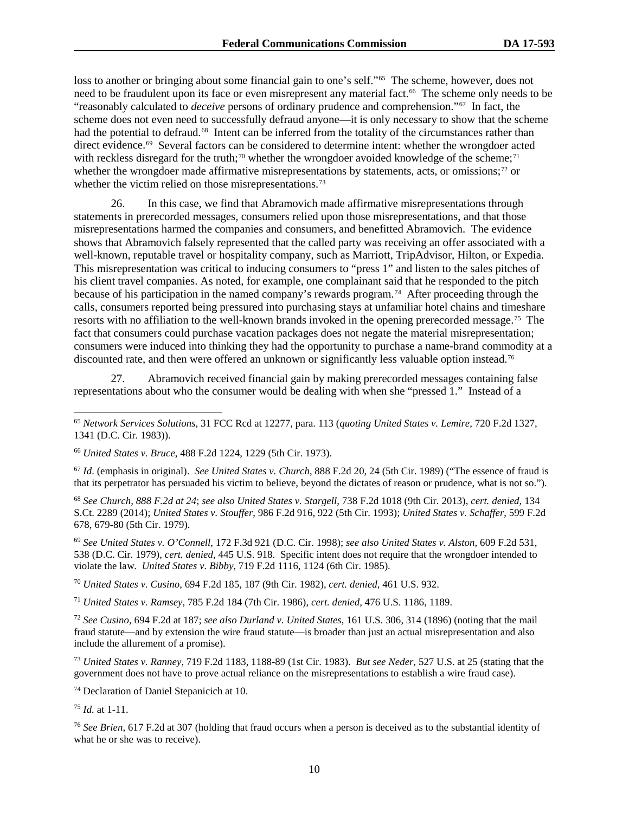loss to another or bringing about some financial gain to one's self."<sup>65</sup> The scheme, however, does not need to be fraudulent upon its face or even misrepresent any material fact.<sup>66</sup> The scheme only needs to be "reasonably calculated to *deceive* persons of ordinary prudence and comprehension."67 In fact, the scheme does not even need to successfully defraud anyone—it is only necessary to show that the scheme had the potential to defraud.<sup>68</sup> Intent can be inferred from the totality of the circumstances rather than direct evidence.<sup>69</sup> Several factors can be considered to determine intent: whether the wrongdoer acted with reckless disregard for the truth;<sup>70</sup> whether the wrongdoer avoided knowledge of the scheme;<sup>71</sup> whether the wrongdoer made affirmative misrepresentations by statements, acts, or omissions;<sup>72</sup> or whether the victim relied on those misrepresentations.<sup>73</sup>

26. In this case, we find that Abramovich made affirmative misrepresentations through statements in prerecorded messages, consumers relied upon those misrepresentations, and that those misrepresentations harmed the companies and consumers, and benefitted Abramovich. The evidence shows that Abramovich falsely represented that the called party was receiving an offer associated with a well-known, reputable travel or hospitality company, such as Marriott, TripAdvisor, Hilton, or Expedia. This misrepresentation was critical to inducing consumers to "press 1" and listen to the sales pitches of his client travel companies. As noted, for example, one complainant said that he responded to the pitch because of his participation in the named company's rewards program.<sup>74</sup> After proceeding through the calls, consumers reported being pressured into purchasing stays at unfamiliar hotel chains and timeshare resorts with no affiliation to the well-known brands invoked in the opening prerecorded message.<sup>75</sup> The fact that consumers could purchase vacation packages does not negate the material misrepresentation; consumers were induced into thinking they had the opportunity to purchase a name-brand commodity at a discounted rate, and then were offered an unknown or significantly less valuable option instead.<sup>76</sup>

27. Abramovich received financial gain by making prerecorded messages containing false representations about who the consumer would be dealing with when she "pressed 1." Instead of a

<sup>67</sup> *Id*. (emphasis in original). *See United States v. Church*, 888 F.2d 20, 24 (5th Cir. 1989) ("The essence of fraud is that its perpetrator has persuaded his victim to believe, beyond the dictates of reason or prudence, what is not so.").

<sup>68</sup> *See Church, 888 F.2d at 24*; *see also United States v. Stargell*, 738 F.2d 1018 (9th Cir. 2013), *cert. denied,* 134 S.Ct. 2289 (2014); *United States v. Stouffer*, 986 F.2d 916, 922 (5th Cir. 1993); *United States v. Schaffer*, 599 F.2d 678, 679-80 (5th Cir. 1979).

<sup>69</sup> *See United States v. O'Connell*, 172 F.3d 921 (D.C. Cir. 1998); *see also United States v. Alston*, 609 F.2d 531, 538 (D.C. Cir. 1979), *cert. denied,* 445 U.S. 918. Specific intent does not require that the wrongdoer intended to violate the law. *United States v. Bibby*, 719 F.2d 1116, 1124 (6th Cir. 1985).

<sup>70</sup> *United States v. Cusino*, 694 F.2d 185, 187 (9th Cir. 1982), *cert. denied,* 461 U.S. 932.

<sup>71</sup> *United States v. Ramsey*, 785 F.2d 184 (7th Cir. 1986), *cert. denied,* 476 U.S. 1186, 1189.

<sup>72</sup> *See Cusino*, 694 F.2d at 187; *see also Durland v. United States*, 161 U.S. 306, 314 (1896) (noting that the mail fraud statute—and by extension the wire fraud statute—is broader than just an actual misrepresentation and also include the allurement of a promise).

<sup>73</sup> *United States v. Ranney*, 719 F.2d 1183, 1188-89 (1st Cir. 1983). *But see Neder*, 527 U.S. at 25 (stating that the government does not have to prove actual reliance on the misrepresentations to establish a wire fraud case).

<sup>74</sup> Declaration of Daniel Stepanicich at 10.

<sup>75</sup> *Id.* at 1-11.

<sup>76</sup> *See Brien*, 617 F.2d at 307 (holding that fraud occurs when a person is deceived as to the substantial identity of what he or she was to receive).

 <sup>65</sup> *Network Services Solutions*, 31 FCC Rcd at 12277, para. 113 (*quoting United States v. Lemire*, 720 F.2d 1327, 1341 (D.C. Cir. 1983)).

<sup>66</sup> *United States v. Bruce*, 488 F.2d 1224, 1229 (5th Cir. 1973).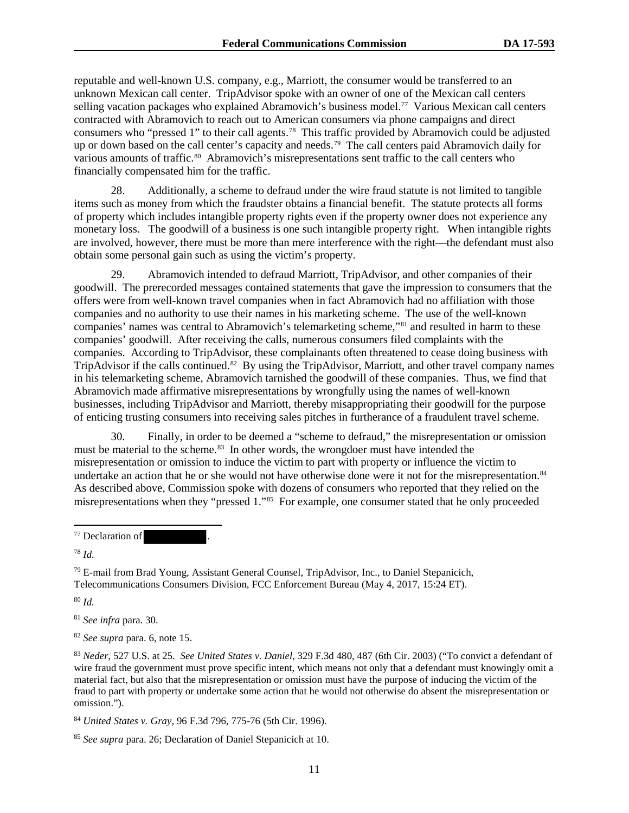reputable and well-known U.S. company, e.g., Marriott, the consumer would be transferred to an unknown Mexican call center. TripAdvisor spoke with an owner of one of the Mexican call centers selling vacation packages who explained Abramovich's business model.<sup>77</sup> Various Mexican call centers contracted with Abramovich to reach out to American consumers via phone campaigns and direct consumers who "pressed 1" to their call agents.<sup>78</sup> This traffic provided by Abramovich could be adjusted up or down based on the call center's capacity and needs.79 The call centers paid Abramovich daily for various amounts of traffic.<sup>80</sup> Abramovich's misrepresentations sent traffic to the call centers who financially compensated him for the traffic.

28. Additionally, a scheme to defraud under the wire fraud statute is not limited to tangible items such as money from which the fraudster obtains a financial benefit. The statute protects all forms of property which includes intangible property rights even if the property owner does not experience any monetary loss. The goodwill of a business is one such intangible property right. When intangible rights are involved, however, there must be more than mere interference with the right—the defendant must also obtain some personal gain such as using the victim's property.

29. Abramovich intended to defraud Marriott, TripAdvisor, and other companies of their goodwill. The prerecorded messages contained statements that gave the impression to consumers that the offers were from well-known travel companies when in fact Abramovich had no affiliation with those companies and no authority to use their names in his marketing scheme. The use of the well-known companies' names was central to Abramovich's telemarketing scheme,"81 and resulted in harm to these companies' goodwill. After receiving the calls, numerous consumers filed complaints with the companies. According to TripAdvisor, these complainants often threatened to cease doing business with TripAdvisor if the calls continued.<sup>82</sup> By using the TripAdvisor, Marriott, and other travel company names in his telemarketing scheme, Abramovich tarnished the goodwill of these companies. Thus, we find that Abramovich made affirmative misrepresentations by wrongfully using the names of well-known businesses, including TripAdvisor and Marriott, thereby misappropriating their goodwill for the purpose of enticing trusting consumers into receiving sales pitches in furtherance of a fraudulent travel scheme.

30. Finally, in order to be deemed a "scheme to defraud," the misrepresentation or omission must be material to the scheme.<sup>83</sup> In other words, the wrongdoer must have intended the misrepresentation or omission to induce the victim to part with property or influence the victim to undertake an action that he or she would not have otherwise done were it not for the misrepresentation.<sup>84</sup> As described above, Commission spoke with dozens of consumers who reported that they relied on the misrepresentations when they "pressed 1."85 For example, one consumer stated that he only proceeded

<sup>78</sup> *Id.*

 $\overline{a}$ 

 $79$  E-mail from Brad Young, Assistant General Counsel, TripAdvisor, Inc., to Daniel Stepanicich, Telecommunications Consumers Division, FCC Enforcement Bureau (May 4, 2017, 15:24 ET).

<sup>80</sup> *Id.*

<sup>81</sup> *See infra* para. 30.

<sup>82</sup> *See supra* para. 6, note 15.

<sup>83</sup> *Neder*, 527 U.S. at 25. *See United States v. Daniel*, 329 F.3d 480, 487 (6th Cir. 2003) ("To convict a defendant of wire fraud the government must prove specific intent, which means not only that a defendant must knowingly omit a material fact, but also that the misrepresentation or omission must have the purpose of inducing the victim of the fraud to part with property or undertake some action that he would not otherwise do absent the misrepresentation or omission.").

<sup>84</sup> *United States v. Gray*, 96 F.3d 796, 775-76 (5th Cir. 1996).

<sup>85</sup> *See supra* para. 26; Declaration of Daniel Stepanicich at 10.

<sup>&</sup>lt;sup>77</sup> Declaration of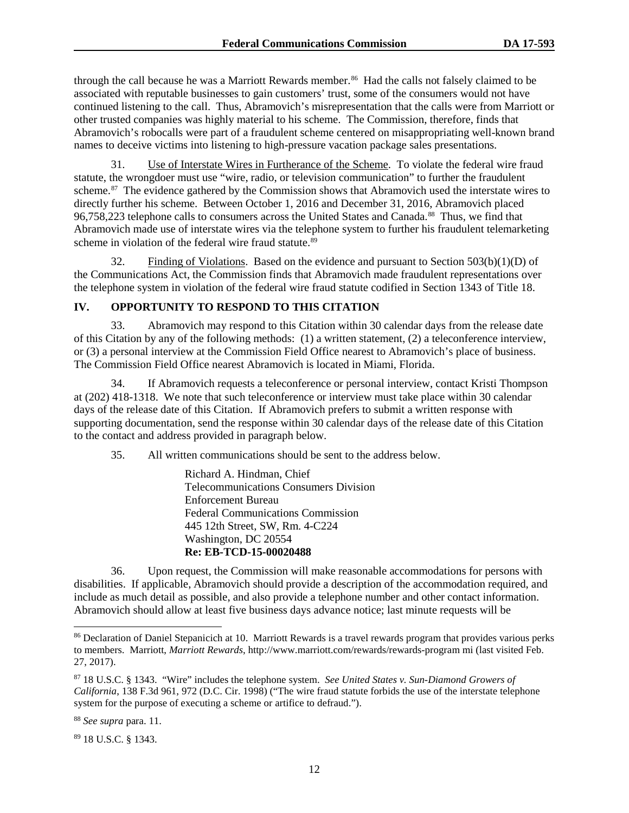through the call because he was a Marriott Rewards member.<sup>86</sup> Had the calls not falsely claimed to be associated with reputable businesses to gain customers' trust, some of the consumers would not have continued listening to the call. Thus, Abramovich's misrepresentation that the calls were from Marriott or other trusted companies was highly material to his scheme. The Commission, therefore, finds that Abramovich's robocalls were part of a fraudulent scheme centered on misappropriating well-known brand names to deceive victims into listening to high-pressure vacation package sales presentations.

31. Use of Interstate Wires in Furtherance of the Scheme. To violate the federal wire fraud statute, the wrongdoer must use "wire, radio, or television communication" to further the fraudulent scheme.<sup>87</sup> The evidence gathered by the Commission shows that Abramovich used the interstate wires to directly further his scheme. Between October 1, 2016 and December 31, 2016, Abramovich placed 96,758,223 telephone calls to consumers across the United States and Canada.<sup>88</sup> Thus, we find that Abramovich made use of interstate wires via the telephone system to further his fraudulent telemarketing scheme in violation of the federal wire fraud statute.<sup>89</sup>

32. Finding of Violations. Based on the evidence and pursuant to Section  $503(b)(1)(D)$  of the Communications Act, the Commission finds that Abramovich made fraudulent representations over the telephone system in violation of the federal wire fraud statute codified in Section 1343 of Title 18.

#### **IV. OPPORTUNITY TO RESPOND TO THIS CITATION**

33. Abramovich may respond to this Citation within 30 calendar days from the release date of this Citation by any of the following methods: (1) a written statement, (2) a teleconference interview, or (3) a personal interview at the Commission Field Office nearest to Abramovich's place of business. The Commission Field Office nearest Abramovich is located in Miami, Florida.

34. If Abramovich requests a teleconference or personal interview, contact Kristi Thompson at (202) 418-1318. We note that such teleconference or interview must take place within 30 calendar days of the release date of this Citation. If Abramovich prefers to submit a written response with supporting documentation, send the response within 30 calendar days of the release date of this Citation to the contact and address provided in paragraph below.

35. All written communications should be sent to the address below.

Richard A. Hindman, Chief Telecommunications Consumers Division Enforcement Bureau Federal Communications Commission 445 12th Street, SW, Rm. 4-C224 Washington, DC 20554 **Re: EB-TCD-15-00020488** 

36. Upon request, the Commission will make reasonable accommodations for persons with disabilities. If applicable, Abramovich should provide a description of the accommodation required, and include as much detail as possible, and also provide a telephone number and other contact information. Abramovich should allow at least five business days advance notice; last minute requests will be

 $\overline{a}$ 

<sup>&</sup>lt;sup>86</sup> Declaration of Daniel Stepanicich at 10. Marriott Rewards is a travel rewards program that provides various perks to members. Marriott, *Marriott Rewards*, http://www.marriott.com/rewards/rewards-program mi (last visited Feb. 27, 2017).

<sup>87</sup> 18 U.S.C. § 1343. "Wire" includes the telephone system. *See United States v. Sun-Diamond Growers of California*, 138 F.3d 961, 972 (D.C. Cir. 1998) ("The wire fraud statute forbids the use of the interstate telephone system for the purpose of executing a scheme or artifice to defraud.").

<sup>88</sup> *See supra* para. 11.

<sup>89</sup> 18 U.S.C. § 1343.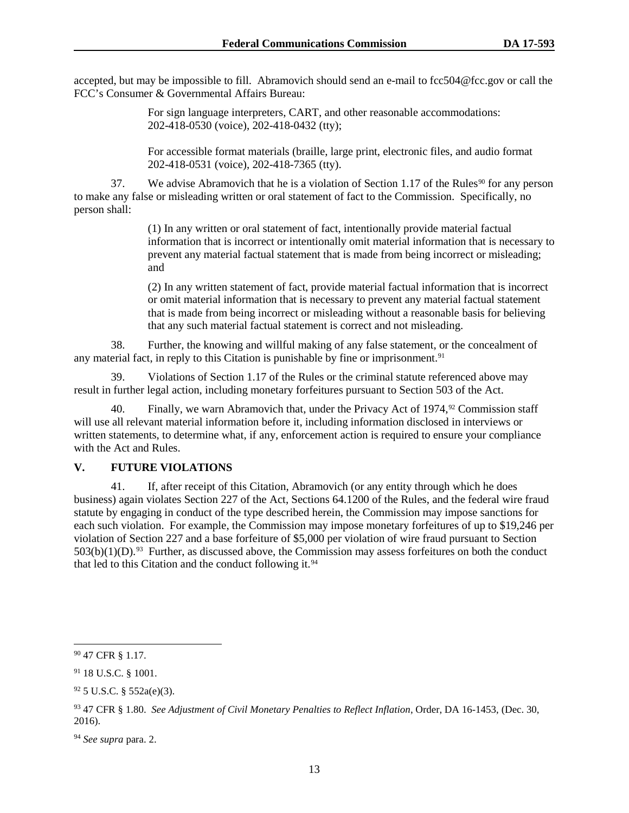accepted, but may be impossible to fill. Abramovich should send an e-mail to fcc504@fcc.gov or call the FCC's Consumer & Governmental Affairs Bureau:

> For sign language interpreters, CART, and other reasonable accommodations: 202-418-0530 (voice), 202-418-0432 (tty);

For accessible format materials (braille, large print, electronic files, and audio format 202-418-0531 (voice), 202-418-7365 (tty).

37. We advise Abramovich that he is a violation of Section 1.17 of the Rules<sup>90</sup> for any person to make any false or misleading written or oral statement of fact to the Commission. Specifically, no person shall:

> (1) In any written or oral statement of fact, intentionally provide material factual information that is incorrect or intentionally omit material information that is necessary to prevent any material factual statement that is made from being incorrect or misleading; and

(2) In any written statement of fact, provide material factual information that is incorrect or omit material information that is necessary to prevent any material factual statement that is made from being incorrect or misleading without a reasonable basis for believing that any such material factual statement is correct and not misleading.

38. Further, the knowing and willful making of any false statement, or the concealment of any material fact, in reply to this Citation is punishable by fine or imprisonment.<sup>91</sup>

39. Violations of Section 1.17 of the Rules or the criminal statute referenced above may result in further legal action, including monetary forfeitures pursuant to Section 503 of the Act.

40. Finally, we warn Abramovich that, under the Privacy Act of  $1974<sup>92</sup>$  Commission staff will use all relevant material information before it, including information disclosed in interviews or written statements, to determine what, if any, enforcement action is required to ensure your compliance with the Act and Rules.

#### **V. FUTURE VIOLATIONS**

41. If, after receipt of this Citation, Abramovich (or any entity through which he does business) again violates Section 227 of the Act, Sections 64.1200 of the Rules, and the federal wire fraud statute by engaging in conduct of the type described herein, the Commission may impose sanctions for each such violation. For example, the Commission may impose monetary forfeitures of up to \$19,246 per violation of Section 227 and a base forfeiture of \$5,000 per violation of wire fraud pursuant to Section  $503(b)(1)(D)$ .<sup>93</sup> Further, as discussed above, the Commission may assess for feitures on both the conduct that led to this Citation and the conduct following it.<sup>94</sup>

 <sup>90</sup> 47 CFR § 1.17.

<sup>91</sup> 18 U.S.C. § 1001.

 $92$  5 U.S.C. § 552a(e)(3).

<sup>93</sup> 47 CFR § 1.80. *See Adjustment of Civil Monetary Penalties to Reflect Inflation*, Order, DA 16-1453, (Dec. 30, 2016).

<sup>94</sup> *See supra* para. 2.